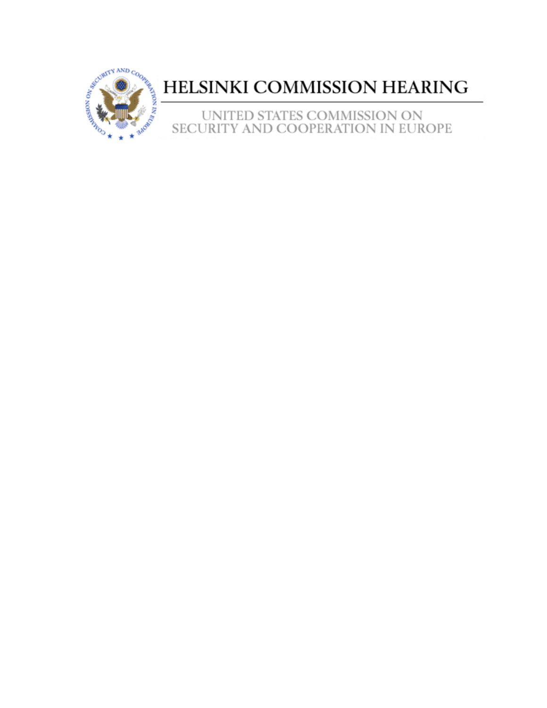

## HELSINKI COMMISSION HEARING

UNITED STATES COMMISSION ON SECURITY AND COOPERATION IN EUROPE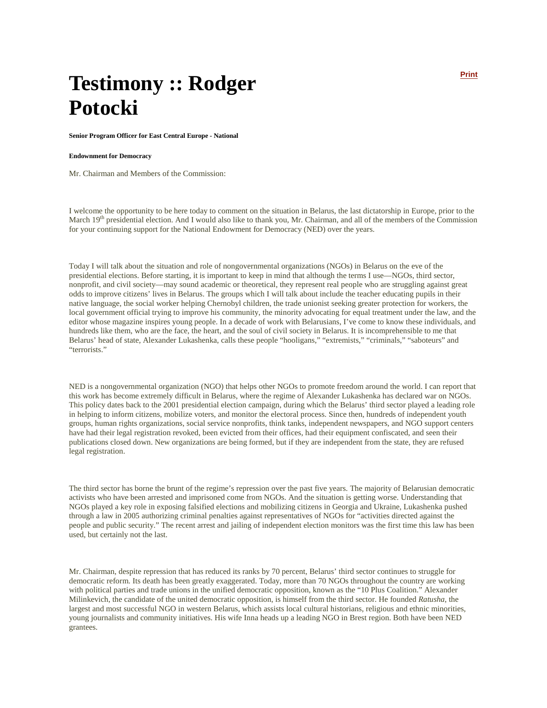## **Testimony :: Rodger Potocki**

**Senior Program Officer for East Central Europe - National** 

## **Endownment for Democracy**

Mr. Chairman and Members of the Commission:

I welcome the opportunity to be here today to comment on the situation in Belarus, the last dictatorship in Europe, prior to the March  $19<sup>th</sup>$  presidential election. And I would also like to thank you, Mr. Chairman, and all of the members of the Commission for your continuing support for the National Endowment for Democracy (NED) over the years.

Today I will talk about the situation and role of nongovernmental organizations (NGOs) in Belarus on the eve of the presidential elections. Before starting, it is important to keep in mind that although the terms I use—NGOs, third sector, nonprofit, and civil society—may sound academic or theoretical, they represent real people who are struggling against great odds to improve citizens' lives in Belarus. The groups which I will talk about include the teacher educating pupils in their native language, the social worker helping Chernobyl children, the trade unionist seeking greater protection for workers, the local government official trying to improve his community, the minority advocating for equal treatment under the law, and the editor whose magazine inspires young people. In a decade of work with Belarusians, I've come to know these individuals, and hundreds like them, who are the face, the heart, and the soul of civil society in Belarus. It is incomprehensible to me that Belarus' head of state, Alexander Lukashenka, calls these people "hooligans," "extremists," "criminals," "saboteurs" and "terrorists."

NED is a nongovernmental organization (NGO) that helps other NGOs to promote freedom around the world. I can report that this work has become extremely difficult in Belarus, where the regime of Alexander Lukashenka has declared war on NGOs. This policy dates back to the 2001 presidential election campaign, during which the Belarus' third sector played a leading role in helping to inform citizens, mobilize voters, and monitor the electoral process. Since then, hundreds of independent youth groups, human rights organizations, social service nonprofits, think tanks, independent newspapers, and NGO support centers have had their legal registration revoked, been evicted from their offices, had their equipment confiscated, and seen their publications closed down. New organizations are being formed, but if they are independent from the state, they are refused legal registration.

The third sector has borne the brunt of the regime's repression over the past five years. The majority of Belarusian democratic activists who have been arrested and imprisoned come from NGOs. And the situation is getting worse. Understanding that NGOs played a key role in exposing falsified elections and mobilizing citizens in Georgia and Ukraine, Lukashenka pushed through a law in 2005 authorizing criminal penalties against representatives of NGOs for "activities directed against the people and public security." The recent arrest and jailing of independent election monitors was the first time this law has been used, but certainly not the last.

Mr. Chairman, despite repression that has reduced its ranks by 70 percent, Belarus' third sector continues to struggle for democratic reform. Its death has been greatly exaggerated. Today, more than 70 NGOs throughout the country are working with political parties and trade unions in the unified democratic opposition, known as the "10 Plus Coalition." Alexander Milinkevich, the candidate of the united democratic opposition, is himself from the third sector. He founded *Ratusha*, the largest and most successful NGO in western Belarus, which assists local cultural historians, religious and ethnic minorities, young journalists and community initiatives. His wife Inna heads up a leading NGO in Brest region. Both have been NED grantees.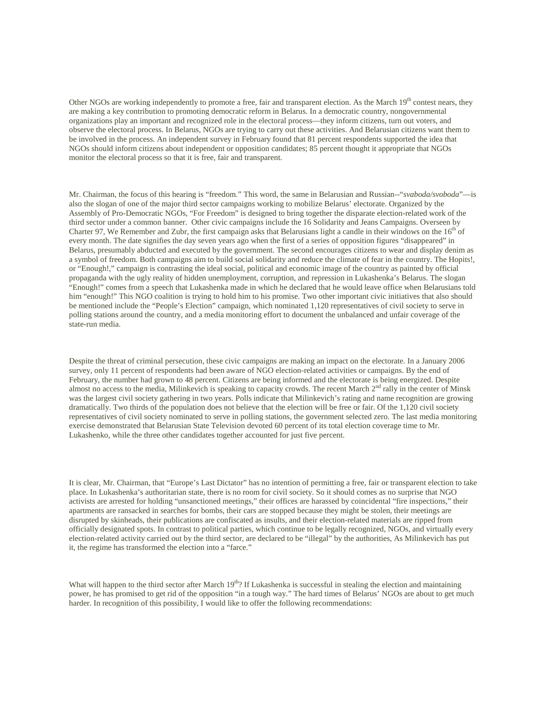Other NGOs are working independently to promote a free, fair and transparent election. As the March  $19<sup>th</sup>$  contest nears, they are making a key contribution to promoting democratic reform in Belarus. In a democratic country, nongovernmental organizations play an important and recognized role in the electoral process—they inform citizens, turn out voters, and observe the electoral process. In Belarus, NGOs are trying to carry out these activities. And Belarusian citizens want them to be involved in the process. An independent survey in February found that 81 percent respondents supported the idea that NGOs should inform citizens about independent or opposition candidates; 85 percent thought it appropriate that NGOs monitor the electoral process so that it is free, fair and transparent.

Mr. Chairman, the focus of this hearing is "freedom." This word, the same in Belarusian and Russian--"*svaboda/svoboda*"—is also the slogan of one of the major third sector campaigns working to mobilize Belarus' electorate. Organized by the Assembly of Pro-Democratic NGOs, "For Freedom" is designed to bring together the disparate election-related work of the third sector under a common banner. Other civic campaigns include the 16 Solidarity and Jeans Campaigns. Overseen by Charter 97, We Remember and Zubr, the first campaign asks that Belarusians light a candle in their windows on the 16<sup>th</sup> of every month. The date signifies the day seven years ago when the first of a series of opposition figures "disappeared" in Belarus, presumably abducted and executed by the government. The second encourages citizens to wear and display denim as a symbol of freedom. Both campaigns aim to build social solidarity and reduce the climate of fear in the country. The Hopits!, or "Enough!," campaign is contrasting the ideal social, political and economic image of the country as painted by official propaganda with the ugly reality of hidden unemployment, corruption, and repression in Lukashenka's Belarus. The slogan "Enough!" comes from a speech that Lukashenka made in which he declared that he would leave office when Belarusians told him "enough!" This NGO coalition is trying to hold him to his promise. Two other important civic initiatives that also should be mentioned include the "People's Election" campaign, which nominated 1,120 representatives of civil society to serve in polling stations around the country, and a media monitoring effort to document the unbalanced and unfair coverage of the state-run media.

Despite the threat of criminal persecution, these civic campaigns are making an impact on the electorate. In a January 2006 survey, only 11 percent of respondents had been aware of NGO election-related activities or campaigns. By the end of February, the number had grown to 48 percent. Citizens are being informed and the electorate is being energized. Despite almost no access to the media, Milinkevich is speaking to capacity crowds. The recent March  $2<sup>nd</sup>$  rally in the center of Minsk was the largest civil society gathering in two years. Polls indicate that Milinkevich's rating and name recognition are growing dramatically. Two thirds of the population does not believe that the election will be free or fair. Of the 1,120 civil society representatives of civil society nominated to serve in polling stations, the government selected zero. The last media monitoring exercise demonstrated that Belarusian State Television devoted 60 percent of its total election coverage time to Mr. Lukashenko, while the three other candidates together accounted for just five percent.

It is clear, Mr. Chairman, that "Europe's Last Dictator" has no intention of permitting a free, fair or transparent election to take place. In Lukashenka's authoritarian state, there is no room for civil society. So it should comes as no surprise that NGO activists are arrested for holding "unsanctioned meetings," their offices are harassed by coincidental "fire inspections," their apartments are ransacked in searches for bombs, their cars are stopped because they might be stolen, their meetings are disrupted by skinheads, their publications are confiscated as insults, and their election-related materials are ripped from officially designated spots. In contrast to political parties, which continue to be legally recognized, NGOs, and virtually every election-related activity carried out by the third sector, are declared to be "illegal" by the authorities, As Milinkevich has put it, the regime has transformed the election into a "farce."

What will happen to the third sector after March  $19<sup>th</sup>$ ? If Lukashenka is successful in stealing the election and maintaining power, he has promised to get rid of the opposition "in a tough way." The hard times of Belarus' NGOs are about to get much harder. In recognition of this possibility, I would like to offer the following recommendations: